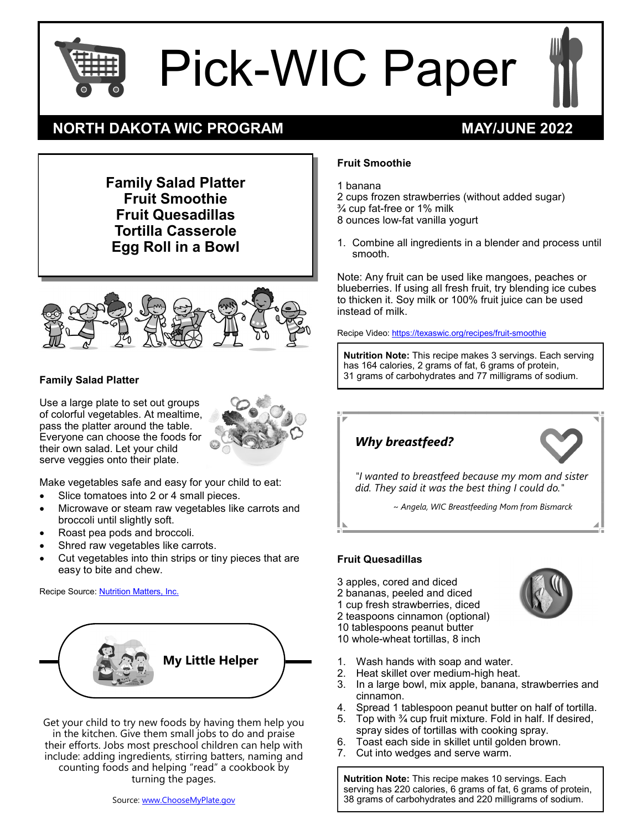

Pick-WIC Paper

# **NORTH DAKOTA WIC PROGRAM MAY/JUNE 2022**

**Fruit Smoothie**

1 banana

2 cups frozen strawberries (without added sugar)

¾ cup fat-free or 1% milk

8 ounces low-fat vanilla yogurt

1. Combine all ingredients in a blender and process until smooth.

Note: Any fruit can be used like mangoes, peaches or blueberries. If using all fresh fruit, try blending ice cubes to thicken it. Soy milk or 100% fruit juice can be used instead of milk.

Recipe Video: [https://texaswic.org/recipes/fruit](https://texaswic.org/recipes/fruit-smoothie)-smoothie

**Nutrition Note:** This recipe makes 3 servings. Each serving has 164 calories, 2 grams of fat, 6 grams of protein, 31 grams of carbohydrates and 77 milligrams of sodium.



*~ Angela, WIC Breastfeeding Mom from Bismarck*

#### **Fruit Quesadillas**

- 3 apples, cored and diced
- 2 bananas, peeled and diced
- 1 cup fresh strawberries, diced
- 2 teaspoons cinnamon (optional)

10 tablespoons peanut butter 10 whole-wheat tortillas, 8 inch

- 1. Wash hands with soap and water.
- 2. Heat skillet over medium-high heat.
- 3. In a large bowl, mix apple, banana, strawberries and cinnamon.
- 4. Spread 1 tablespoon peanut butter on half of tortilla.
- 5. Top with ¾ cup fruit mixture. Fold in half. If desired, spray sides of tortillas with cooking spray.
- 6. Toast each side in skillet until golden brown.
- 7. Cut into wedges and serve warm.

**Nutrition Note:** This recipe makes 10 servings. Each serving has 220 calories, 6 grams of fat, 6 grams of protein, 38 grams of carbohydrates and 220 milligrams of sodium.

**Family Salad Platter Fruit Smoothie Fruit Quesadillas Tortilla Casserole Egg Roll in a Bowl**



#### **Family Salad Platter**

Use a large plate to set out groups of colorful vegetables. At mealtime, pass the platter around the table. Everyone can choose the foods for their own salad. Let your child serve veggies onto their plate.



Make vegetables safe and easy for your child to eat:

- Slice tomatoes into 2 or 4 small pieces.
- Microwave or steam raw vegetables like carrots and broccoli until slightly soft.
- Roast pea pods and broccoli.
- Shred raw vegetables like carrots.
- Cut vegetables into thin strips or tiny pieces that are easy to bite and chew.

Recipe Source: [Nutrition Matters, Inc.](https://stores.numatters.com/nubite-tipsheets/)



Get your child to try new foods by having them help you in the kitchen. Give them small jobs to do and praise their efforts. Jobs most preschool children can help with include: adding ingredients, stirring batters, naming and counting foods and helping "read" a cookbook by turning the pages.